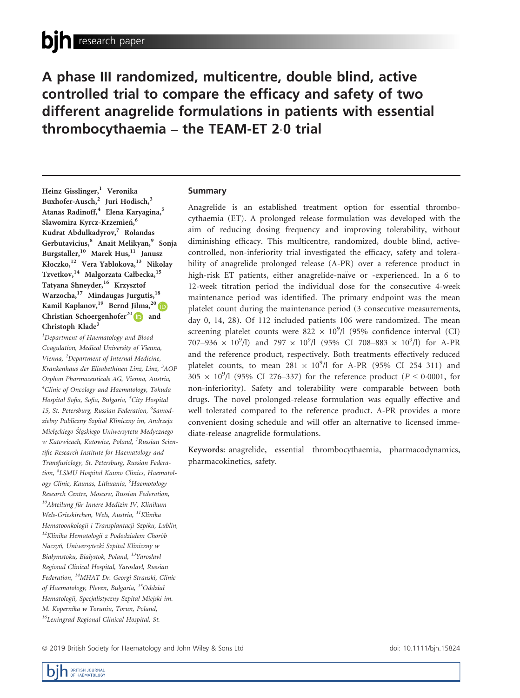A phase III randomized, multicentre, double blind, active controlled trial to compare the efficacy and safety of two different anagrelide formulations in patients with essential thrombocythaemia  $-$  the TEAM-ET 2.0 trial

Heinz Gisslinger,<sup>1</sup> Veronika Buxhofer-Ausch,<sup>2</sup> Juri Hodisch,<sup>3</sup> Atanas Radinoff,<sup>4</sup> Elena Karyagina,<sup>5</sup> Slawomira Kyrcz-Krzemień,<sup>6</sup> Kudrat Abdulkadyrov,<sup>7</sup> Rolandas Gerbutavicius,<sup>8</sup> Anait Melikyan,<sup>9</sup> Sonja Burgstaller,<sup>10</sup> Marek Hus,<sup>11</sup> Janusz Kłoczko,<sup>12</sup> Vera Yablokova,<sup>13</sup> Nikolay Tzvetkov,<sup>14</sup> Malgorzata Całbecka,<sup>15</sup> Tatyana Shneyder,<sup>16</sup> Krzysztof Warzocha,<sup>17</sup> Mindaugas Jurgutis,<sup>18</sup> Kamil Kaplanov,<sup>19</sup> Bernd Jilma,<sup>2[0](https://orcid.org/0000-0001-5652-7977)</sup> D Christian Schoergenhofer<sup>2[0](https://orcid.org/0000-0002-2286-1077)</sup>  $\blacksquare$  and Christoph Klade<sup>3</sup>

<sup>1</sup>Department of Haematology and Blood Coagulation, Medical University of Vienna, Vienna, <sup>2</sup>Department of Internal Medicine, Krankenhaus der Elisabethinen Linz, Linz, <sup>3</sup>AOP Orphan Pharmaceuticals AG, Vienna, Austria, 4 Clinic of Oncology and Haematology, Tokuda Hospital Sofia, Sofia, Bulgaria, <sup>5</sup>City Hospital 15, St. Petersburg, Russian Federation, <sup>6</sup>Samodzielny Publiczny Szpital Kliniczny im, Andrzeja Mielezckiego Slazskiego Uniwersytetu Medycznego w Katowicach, Katowice, Poland, <sup>7</sup>Russian Scientific-Research Institute for Haematology and Transfusiology, St. Petersburg, Russian Federation, <sup>8</sup>LSMU Hospital Kauno Clinics, Haematology Clinic, Kaunas, Lithuania, <sup>9</sup>Haemotology Research Centre, Moscow, Russian Federation,  $10A$ bteilung für Innere Medizin IV, Klinikum Wels-Grieskirchen, Wels, Austria, <sup>11</sup>Klinika Hematoonkologii i Transplantacji Szpiku, Lublin,  $12$ Klinika Hematologii z Pododziałem Chorób Naczyń, Uniwersytecki Szpital Kliniczny w Białymstoku, Białystok, Poland, 13Yaroslavl Regional Clinical Hospital, Yaroslavl, Russian Federation, 14MHAT Dr. Georgi Stranski, Clinic of Haematology, Pleven, Bulgaria, <sup>15</sup>Oddział Hematologii, Specjalistyczny Szpital Miejski im. M. Kopernika w Toruniu, Torun, Poland, <sup>16</sup>Leningrad Regional Clinical Hospital, St.

## Summary

Anagrelide is an established treatment option for essential thrombocythaemia (ET). A prolonged release formulation was developed with the aim of reducing dosing frequency and improving tolerability, without diminishing efficacy. This multicentre, randomized, double blind, activecontrolled, non-inferiority trial investigated the efficacy, safety and tolerability of anagrelide prolonged release (A-PR) over a reference product in high-risk ET patients, either anagrelide-naïve or -experienced. In a 6 to 12-week titration period the individual dose for the consecutive 4-week maintenance period was identified. The primary endpoint was the mean platelet count during the maintenance period (3 consecutive measurements, day 0, 14, 28). Of 112 included patients 106 were randomized. The mean screening platelet counts were 822  $\times$  10<sup>9</sup>/l (95% confidence interval (CI) 707–936  $\times$  10<sup>9</sup>/l) and 797  $\times$  10<sup>9</sup>/l (95% CI 708–883  $\times$  10<sup>9</sup>/l) for A-PR and the reference product, respectively. Both treatments effectively reduced platelet counts, to mean  $281 \times 10^9$ /l for A-PR (95% CI 254–311) and  $305 \times 10^{9}$ /l (95% CI 276–337) for the reference product ( $P < 0.0001$ , for non-inferiority). Safety and tolerability were comparable between both drugs. The novel prolonged-release formulation was equally effective and well tolerated compared to the reference product. A-PR provides a more convenient dosing schedule and will offer an alternative to licensed immediate-release anagrelide formulations.

Keywords: anagrelide, essential thrombocythaemia, pharmacodynamics, pharmacokinetics, safety.

ª 2019 British Society for Haematology and John Wiley & Sons Ltd doi: 10.1111/bjh.15824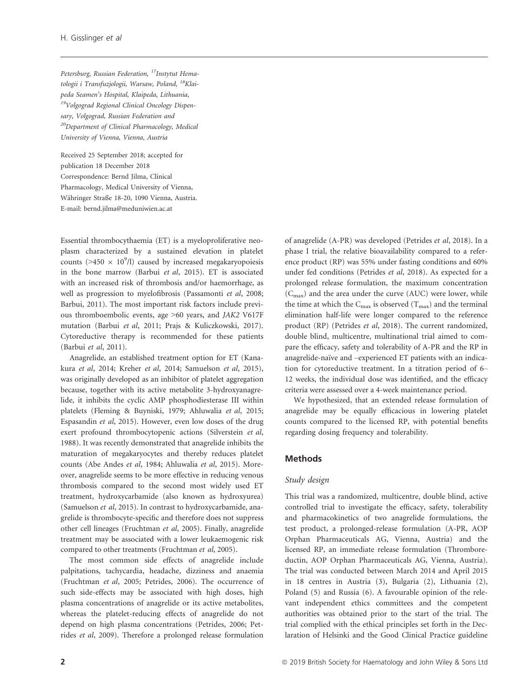Petersburg, Russian Federation, <sup>17</sup>Instytut Hematologii i Transfuziologii, Warsaw, Poland, <sup>18</sup>Klaipeda Seamen's Hospital, Klaipeda, Lithuania, 19Volgograd Regional Clinical Oncology Dispensary, Volgograd, Russian Federation and 20Department of Clinical Pharmacology, Medical University of Vienna, Vienna, Austria

Received 25 September 2018; accepted for publication 18 December 2018 Correspondence: Bernd Jilma, Clinical Pharmacology, Medical University of Vienna, Währinger Straße 18-20, 1090 Vienna, Austria. E-mail: [bernd.jilma@meduniwien.ac.at](mailto:)

Essential thrombocythaemia (ET) is a myeloproliferative neoplasm characterized by a sustained elevation in platelet counts ( $>450 \times 10^9$ /l) caused by increased megakaryopoiesis in the bone marrow (Barbui et al, 2015). ET is associated with an increased risk of thrombosis and/or haemorrhage, as well as progression to myelofibrosis (Passamonti et al, 2008; Barbui, 2011). The most important risk factors include previous thromboembolic events, age >60 years, and JAK2 V617F mutation (Barbui et al, 2011; Prajs & Kuliczkowski, 2017). Cytoreductive therapy is recommended for these patients (Barbui et al, 2011).

Anagrelide, an established treatment option for ET (Kanakura et al, 2014; Kreher et al, 2014; Samuelson et al, 2015), was originally developed as an inhibitor of platelet aggregation because, together with its active metabolite 3-hydroxyanagrelide, it inhibits the cyclic AMP phosphodiesterase III within platelets (Fleming & Buyniski, 1979; Ahluwalia et al, 2015; Espasandin et al, 2015). However, even low doses of the drug exert profound thrombocytopenic actions (Silverstein et al, 1988). It was recently demonstrated that anagrelide inhibits the maturation of megakaryocytes and thereby reduces platelet counts (Abe Andes et al, 1984; Ahluwalia et al, 2015). Moreover, anagrelide seems to be more effective in reducing venous thrombosis compared to the second most widely used ET treatment, hydroxycarbamide (also known as hydroxyurea) (Samuelson et al, 2015). In contrast to hydroxycarbamide, anagrelide is thrombocyte-specific and therefore does not suppress other cell lineages (Fruchtman et al, 2005). Finally, anagrelide treatment may be associated with a lower leukaemogenic risk compared to other treatments (Fruchtman et al, 2005).

The most common side effects of anagrelide include palpitations, tachycardia, headache, dizziness and anaemia (Fruchtman et al, 2005; Petrides, 2006). The occurrence of such side-effects may be associated with high doses, high plasma concentrations of anagrelide or its active metabolites, whereas the platelet-reducing effects of anagrelide do not depend on high plasma concentrations (Petrides, 2006; Petrides et al, 2009). Therefore a prolonged release formulation

of anagrelide (A-PR) was developed (Petrides et al, 2018). In a phase I trial, the relative bioavailability compared to a reference product (RP) was 55% under fasting conditions and 60% under fed conditions (Petrides et al, 2018). As expected for a prolonged release formulation, the maximum concentration  $(C<sub>max</sub>)$  and the area under the curve (AUC) were lower, while the time at which the  $C_{\text{max}}$  is observed  $(T_{\text{max}})$  and the terminal elimination half-life were longer compared to the reference product (RP) (Petrides et al, 2018). The current randomized, double blind, multicentre, multinational trial aimed to compare the efficacy, safety and tolerability of A-PR and the RP in anagrelide-naïve and –experienced ET patients with an indication for cytoreductive treatment. In a titration period of 6– 12 weeks, the individual dose was identified, and the efficacy criteria were assessed over a 4-week maintenance period.

We hypothesized, that an extended release formulation of anagrelide may be equally efficacious in lowering platelet counts compared to the licensed RP, with potential benefits regarding dosing frequency and tolerability.

### **Methods**

#### Study design

This trial was a randomized, multicentre, double blind, active controlled trial to investigate the efficacy, safety, tolerability and pharmacokinetics of two anagrelide formulations, the test product, a prolonged-release formulation (A-PR, AOP Orphan Pharmaceuticals AG, Vienna, Austria) and the licensed RP, an immediate release formulation (Thromboreductin, AOP Orphan Pharmaceuticals AG, Vienna, Austria). The trial was conducted between March 2014 and April 2015 in 18 centres in Austria (3), Bulgaria (2), Lithuania (2), Poland (5) and Russia (6). A favourable opinion of the relevant independent ethics committees and the competent authorities was obtained prior to the start of the trial. The trial complied with the ethical principles set forth in the Declaration of Helsinki and the Good Clinical Practice guideline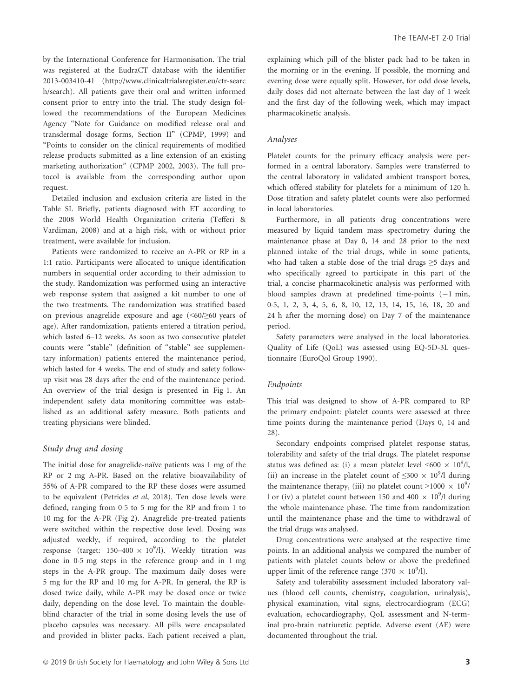by the International Conference for Harmonisation. The trial was registered at the EudraCT database with the identifier 2013-003410-41 ([http://www.clinicaltrialsregister.eu/ctr-searc](http://www.clinicaltrialsregister.eu/ctr-search/search) [h/search](http://www.clinicaltrialsregister.eu/ctr-search/search)). All patients gave their oral and written informed consent prior to entry into the trial. The study design followed the recommendations of the European Medicines Agency "Note for Guidance on modified release oral and transdermal dosage forms, Section II" (CPMP, 1999) and "Points to consider on the clinical requirements of modified release products submitted as a line extension of an existing marketing authorization" (CPMP 2002, 2003). The full protocol is available from the corresponding author upon request.

Detailed inclusion and exclusion criteria are listed in the Table SI. Briefly, patients diagnosed with ET according to the 2008 World Health Organization criteria (Tefferi & Vardiman, 2008) and at a high risk, with or without prior treatment, were available for inclusion.

Patients were randomized to receive an A-PR or RP in a 1:1 ratio. Participants were allocated to unique identification numbers in sequential order according to their admission to the study. Randomization was performed using an interactive web response system that assigned a kit number to one of the two treatments. The randomization was stratified based on previous anagrelide exposure and age (<60/≥60 years of age). After randomization, patients entered a titration period, which lasted 6–12 weeks. As soon as two consecutive platelet counts were "stable" (definition of "stable" see supplementary information) patients entered the maintenance period, which lasted for 4 weeks. The end of study and safety followup visit was 28 days after the end of the maintenance period. An overview of the trial design is presented in Fig 1. An independent safety data monitoring committee was established as an additional safety measure. Both patients and treating physicians were blinded.

#### Study drug and dosing

The initial dose for anagrelide-naïve patients was 1 mg of the RP or 2 mg A-PR. Based on the relative bioavailability of 55% of A-PR compared to the RP these doses were assumed to be equivalent (Petrides et al, 2018). Ten dose levels were defined, ranging from 0.5 to 5 mg for the RP and from 1 to 10 mg for the A-PR (Fig 2). Anagrelide pre-treated patients were switched within the respective dose level. Dosing was adjusted weekly, if required, according to the platelet response (target:  $150-400 \times 10^9$ /l). Weekly titration was done in 05 mg steps in the reference group and in 1 mg steps in the A-PR group. The maximum daily doses were 5 mg for the RP and 10 mg for A-PR. In general, the RP is dosed twice daily, while A-PR may be dosed once or twice daily, depending on the dose level. To maintain the doubleblind character of the trial in some dosing levels the use of placebo capsules was necessary. All pills were encapsulated and provided in blister packs. Each patient received a plan,

explaining which pill of the blister pack had to be taken in the morning or in the evening. If possible, the morning and evening dose were equally split. However, for odd dose levels, daily doses did not alternate between the last day of 1 week and the first day of the following week, which may impact pharmacokinetic analysis.

## Analyses

Platelet counts for the primary efficacy analysis were performed in a central laboratory. Samples were transferred to the central laboratory in validated ambient transport boxes, which offered stability for platelets for a minimum of 120 h. Dose titration and safety platelet counts were also performed in local laboratories.

Furthermore, in all patients drug concentrations were measured by liquid tandem mass spectrometry during the maintenance phase at Day 0, 14 and 28 prior to the next planned intake of the trial drugs, while in some patients, who had taken a stable dose of the trial drugs ≥5 days and who specifically agreed to participate in this part of the trial, a concise pharmacokinetic analysis was performed with blood samples drawn at predefined time-points  $(-1 \text{ min},$ 05, 1, 2, 3, 4, 5, 6, 8, 10, 12, 13, 14, 15, 16, 18, 20 and 24 h after the morning dose) on Day 7 of the maintenance period.

Safety parameters were analysed in the local laboratories. Quality of Life (QoL) was assessed using EQ-5D-3L questionnaire (EuroQol Group 1990).

#### Endpoints

This trial was designed to show of A-PR compared to RP the primary endpoint: platelet counts were assessed at three time points during the maintenance period (Days 0, 14 and 28).

Secondary endpoints comprised platelet response status, tolerability and safety of the trial drugs. The platelet response status was defined as: (i) a mean platelet level <600  $\times$  10<sup>9</sup>/l, (ii) an increase in the platelet count of  $\leq 300 \times 10^9/l$  during the maintenance therapy, (iii) no platelet count  $>1000 \times 10^9$ / l or (iv) a platelet count between 150 and 400  $\times$  10<sup>9</sup>/l during the whole maintenance phase. The time from randomization until the maintenance phase and the time to withdrawal of the trial drugs was analysed.

Drug concentrations were analysed at the respective time points. In an additional analysis we compared the number of patients with platelet counts below or above the predefined upper limit of the reference range (370  $\times$  10<sup>9</sup>/l).

Safety and tolerability assessment included laboratory values (blood cell counts, chemistry, coagulation, urinalysis), physical examination, vital signs, electrocardiogram (ECG) evaluation, echocardiography, QoL assessment and N-terminal pro-brain natriuretic peptide. Adverse event (AE) were documented throughout the trial.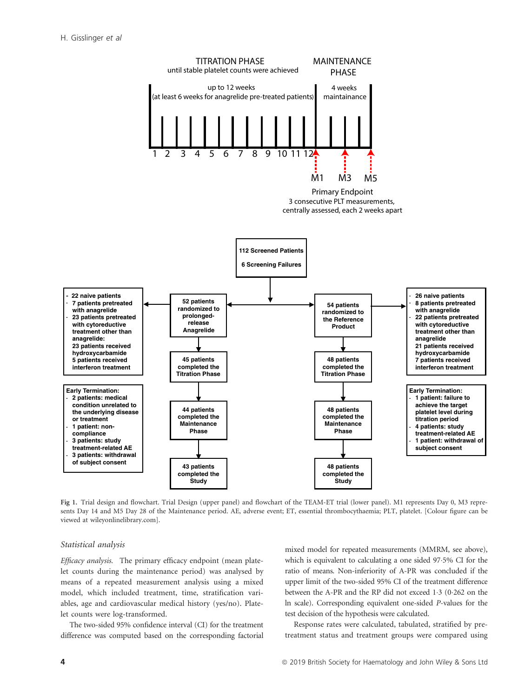

Fig 1. Trial design and flowchart. Trial Design (upper panel) and flowchart of the TEAM-ET trial (lower panel). M1 represents Day 0, M3 represents Day 14 and M5 Day 28 of the Maintenance period. AE, adverse event; ET, essential thrombocythaemia; PLT, platelet. [Colour figure can be viewed at [wileyonlinelibrary.com\]](www.wileyonlinelibrary.com).

#### Statistical analysis

Efficacy analysis. The primary efficacy endpoint (mean platelet counts during the maintenance period) was analysed by means of a repeated measurement analysis using a mixed model, which included treatment, time, stratification variables, age and cardiovascular medical history (yes/no). Platelet counts were log-transformed.

The two-sided 95% confidence interval (CI) for the treatment difference was computed based on the corresponding factorial mixed model for repeated measurements (MMRM, see above), which is equivalent to calculating a one sided 97.5% CI for the ratio of means. Non-inferiority of A-PR was concluded if the upper limit of the two-sided 95% CI of the treatment difference between the A-PR and the RP did not exceed 1.3 (0.262 on the ln scale). Corresponding equivalent one-sided P-values for the test decision of the hypothesis were calculated.

Response rates were calculated, tabulated, stratified by pretreatment status and treatment groups were compared using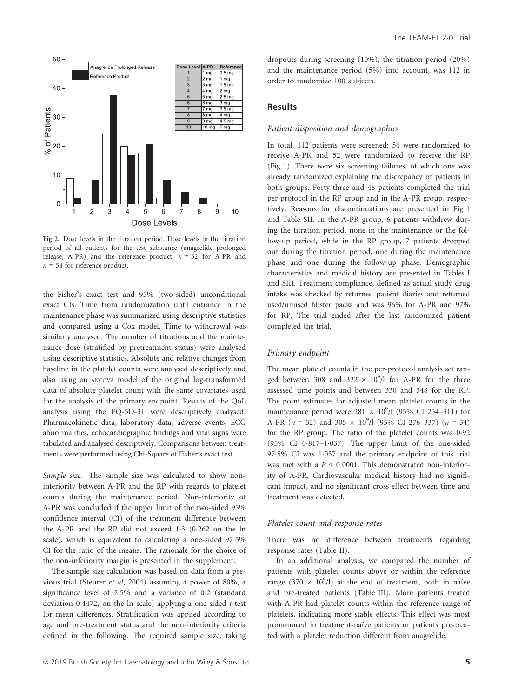

Fig 2. Dose levels in the titration period. Dose levels in the titration period of all patients for the test substance (anagrelide prolonged release, A-PR) and the reference product.  $n = 52$  for A-PR and  $n = 54$  for reference product.

the Fisher's exact test and 95% (two-sided) unconditional exact CIs. Time from randomization until entrance in the maintenance phase was summarized using descriptive statistics and compared using a Cox model. Time to withdrawal was similarly analysed. The number of titrations and the maintenance dose (stratified by pretreatment status) were analysed using descriptive statistics. Absolute and relative changes from baseline in the platelet counts were analysed descriptively and also using an ANCOVA model of the original log-transformed data of absolute platelet count with the same covariates used for the analysis of the primary endpoint. Results of the QoL analysis using the EQ-5D-3L were descriptively analysed. Pharmacokinetic data, laboratory data, adverse events, ECG abnormalities, echocardiographic findings and vital signs were tabulated and analysed descriptively. Comparisons between treatments were performed using Chi-Square of Fisher's exact test.

Sample size. The sample size was calculated to show noninferiority between A-PR and the RP with regards to platelet counts during the maintenance period. Non-inferiority of A-PR was concluded if the upper limit of the two-sided 95% confidence interval (CI) of the treatment difference between the A-PR and the RP did not exceed 13 (0262 on the ln scale), which is equivalent to calculating a one-sided 97.5% CI for the ratio of the means. The rationale for the choice of the non-inferiority margin is presented in the supplement.

The sample size calculation was based on data from a previous trial (Steurer et al, 2004) assuming a power of 80%, a significance level of 25% and a variance of 02 (standard deviation 04472, on the ln scale) applying a one-sided t-test for mean differences. Stratification was applied according to age and pre-treatment status and the non-inferiority criteria defined in the following. The required sample size, taking dropouts during screening (10%), the titration period (20%) and the maintenance period (5%) into account, was 112 in order to randomize 100 subjects.

# Results

## Patient disposition and demographics

In total, 112 patients were screened: 54 were randomized to receive A-PR and 52 were randomized to receive the RP (Fig 1). There were six screening failures, of which one was already randomized explaining the discrepancy of patients in both groups. Forty-three and 48 patients completed the trial per protocol in the RP group and in the A-PR group, respectively. Reasons for discontinuations are presented in Fig 1 and Table SII. In the A-PR group, 6 patients withdrew during the titration period, none in the maintenance or the follow-up period, while in the RP group, 7 patients dropped out during the titration period, one during the maintenance phase and one during the follow-up phase. Demographic characteristics and medical history are presented in Tables I and SIII. Treatment compliance, defined as actual study drug intake was checked by returned patient diaries and returned used/unused blister packs and was 96% for A-PR and 97% for RP. The trial ended after the last randomized patient completed the trial.

### Primary endpoint

The mean platelet counts in the per-protocol analysis set ranged between 308 and 322  $\times$  10<sup>9</sup>/l for A-PR for the three assessed time points and between 330 and 348 for the RP. The point estimates for adjusted mean platelet counts in the maintenance period were  $281 \times 10^9$ /l (95% CI 254-311) for A-PR ( $n = 52$ ) and 305  $\times$  10<sup>9</sup>/l (95% CI 276–337) ( $n = 54$ ) for the RP group. The ratio of the platelet counts was 0.92 (95% CI  $0.817-1.037$ ). The upper limit of the one-sided 975% CI was 1037 and the primary endpoint of this trial was met with a  $P < 0.0001$ . This demonstrated non-inferiority of A-PR. Cardiovascular medical history had no significant impact, and no significant cross effect between time and treatment was detected.

#### Platelet count and response rates

There was no difference between treatments regarding response rates (Table II).

In an additional analysis, we compared the number of patients with platelet counts above or within the reference range (370  $\times$  10<sup>9</sup>/l) at the end of treatment, both in naïve and pre-treated patients (Table III). More patients treated with A-PR had platelet counts within the reference range of platelets, indicating more stable effects. This effect was most pronounced in treatment-naïve patients or patients pre-treated with a platelet reduction different from anagrelide.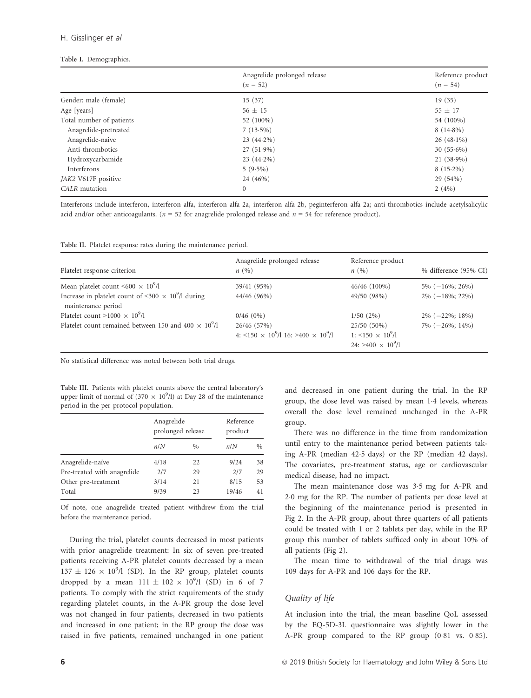#### H. Gisslinger et al

## Table I. Demographics.

|                          | Anagrelide prolonged release<br>$(n = 52)$ | Reference product<br>$(n = 54)$ |
|--------------------------|--------------------------------------------|---------------------------------|
| Gender: male (female)    | 15(37)                                     | 19(35)                          |
| Age [years]              | $56 \pm 15$                                | $55 \pm 17$                     |
| Total number of patients | 52 (100%)                                  | 54 (100%)                       |
| Anagrelide-pretreated    | $7(13.5\%)$                                | $8(14.8\%)$                     |
| Anagrelide-naive         | $23(44.2\%)$                               | $26(48.1\%)$                    |
| Anti-thrombotics         | $27(51.9\%)$                               | $30(55.6\%)$                    |
| Hydroxycarbamide         | $23(44.2\%)$                               | $21(38.9\%)$                    |
| Interferons              | $5(9.5\%)$                                 | $8(15.2\%)$                     |
| JAK2 V617F positive      | 24 (46%)                                   | 29 (54%)                        |
| CALR mutation            | $\mathbf{0}$                               | $2(4\%)$                        |

Interferons include interferon, interferon alfa, interferon alfa-2a, interferon alfa-2b, peginterferon alfa-2a; anti-thrombotics include acetylsalicylic acid and/or other anticoagulants. ( $n = 52$  for anagrelide prolonged release and  $n = 54$  for reference product).

|  |  |  |  |  |  |  | Table II. Platelet response rates during the maintenance period. |  |
|--|--|--|--|--|--|--|------------------------------------------------------------------|--|
|--|--|--|--|--|--|--|------------------------------------------------------------------|--|

| Platelet response criterion                                                                 | Anagrelide prolonged release<br>n(%)                                    | Reference product<br>n(%)                                                  | % difference (95% CI) |
|---------------------------------------------------------------------------------------------|-------------------------------------------------------------------------|----------------------------------------------------------------------------|-----------------------|
| Mean platelet count $\leq 600 \times 10^9/l$                                                | 39/41 (95%)                                                             | 46/46 (100%)                                                               | $5\%$ (-16\%; 26\%)   |
| Increase in platelet count of <300 $\times$ 10 <sup>9</sup> /l during<br>maintenance period | 44/46 (96%)                                                             | 49/50 (98%)                                                                | $2\%$ (-18%; 22%)     |
| Platelet count $>1000 \times 10^9$ /l                                                       | $0/46$ (0%)                                                             | $1/50(2\%)$                                                                | $2\% (-22\%; 18\%)$   |
| Platelet count remained between 150 and 400 $\times$ 10 <sup>9</sup> /l                     | 26/46 (57%)<br>4: $\leq 150 \times 10^9/116$ : $\geq 400 \times 10^9/1$ | 25/50 (50%)<br>1: $\leq 150 \times 10^9/l$<br>$24: > 400 \times 10^9/\ell$ | $7\%$ (-26%; 14%)     |

No statistical difference was noted between both trial drugs.

Table III. Patients with platelet counts above the central laboratory's upper limit of normal of  $(370 \times 10^9/l)$  at Day 28 of the maintenance period in the per-protocol population.

|                             | Anagrelide<br>prolonged release |               | Reference<br>product |               |
|-----------------------------|---------------------------------|---------------|----------------------|---------------|
|                             | n/N                             | $\frac{0}{0}$ | n/N                  | $\frac{0}{0}$ |
| Anagrelide-naïve            | 4/18                            | 22            | 9/24                 | 38            |
| Pre-treated with anagrelide | 2/7                             | 29            | 2/7                  | 29            |
| Other pre-treatment         | 3/14                            | 21            | 8/15                 | 53            |
| Total                       | 9/39                            | 23            | 19/46                | 41            |

Of note, one anagrelide treated patient withdrew from the trial before the maintenance period.

During the trial, platelet counts decreased in most patients with prior anagrelide treatment: In six of seven pre-treated patients receiving A-PR platelet counts decreased by a mean  $137 \pm 126 \times 10^9$ /l (SD). In the RP group, platelet counts dropped by a mean  $111 \pm 102 \times 10^9$ /l (SD) in 6 of 7 patients. To comply with the strict requirements of the study regarding platelet counts, in the A-PR group the dose level was not changed in four patients, decreased in two patients and increased in one patient; in the RP group the dose was raised in five patients, remained unchanged in one patient and decreased in one patient during the trial. In the RP group, the dose level was raised by mean 1.4 levels, whereas overall the dose level remained unchanged in the A-PR group.

There was no difference in the time from randomization until entry to the maintenance period between patients taking A-PR (median 425 days) or the RP (median 42 days). The covariates, pre-treatment status, age or cardiovascular medical disease, had no impact.

The mean maintenance dose was 3.5 mg for A-PR and 20 mg for the RP. The number of patients per dose level at the beginning of the maintenance period is presented in Fig 2. In the A-PR group, about three quarters of all patients could be treated with 1 or 2 tablets per day, while in the RP group this number of tablets sufficed only in about 10% of all patients (Fig 2).

The mean time to withdrawal of the trial drugs was 109 days for A-PR and 106 days for the RP.

# Quality of life

At inclusion into the trial, the mean baseline QoL assessed by the EQ-5D-3L questionnaire was slightly lower in the A-PR group compared to the RP group (0.81 vs. 0.85).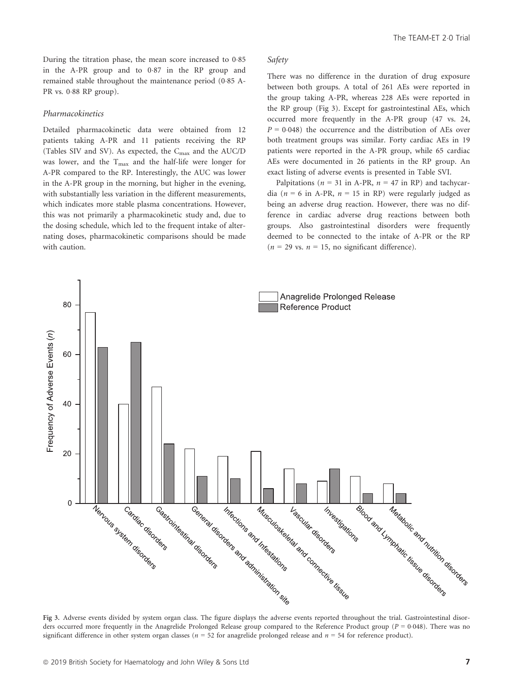#### Pharmacokinetics

Detailed pharmacokinetic data were obtained from 12 patients taking A-PR and 11 patients receiving the RP (Tables SIV and SV). As expected, the Cmax and the AUC/D was lower, and the  $T_{\text{max}}$  and the half-life were longer for A-PR compared to the RP. Interestingly, the AUC was lower in the A-PR group in the morning, but higher in the evening, with substantially less variation in the different measurements, which indicates more stable plasma concentrations. However, this was not primarily a pharmacokinetic study and, due to the dosing schedule, which led to the frequent intake of alternating doses, pharmacokinetic comparisons should be made with caution.

## The TEAM-ET 2.0 Trial

# Safety

There was no difference in the duration of drug exposure between both groups. A total of 261 AEs were reported in the group taking A-PR, whereas 228 AEs were reported in the RP group (Fig 3). Except for gastrointestinal AEs, which occurred more frequently in the A-PR group (47 vs. 24,  $P = 0.048$ ) the occurrence and the distribution of AEs over both treatment groups was similar. Forty cardiac AEs in 19 patients were reported in the A-PR group, while 65 cardiac AEs were documented in 26 patients in the RP group. An exact listing of adverse events is presented in Table SVI.

Palpitations ( $n = 31$  in A-PR,  $n = 47$  in RP) and tachycardia ( $n = 6$  in A-PR,  $n = 15$  in RP) were regularly judged as being an adverse drug reaction. However, there was no difference in cardiac adverse drug reactions between both groups. Also gastrointestinal disorders were frequently deemed to be connected to the intake of A-PR or the RP  $(n = 29 \text{ vs. } n = 15, \text{ no significant difference}).$ 



ders occurred more frequently in the Anagrelide Prolonged Release group compared to the Reference Product group ( $P = 0.048$ ). There was no significant difference in other system organ classes ( $n = 52$  for anagrelide prolonged release and  $n = 54$  for reference product).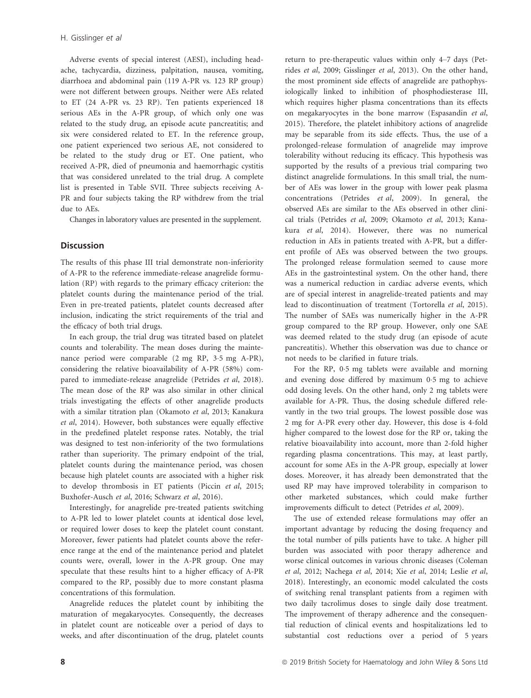Adverse events of special interest (AESI), including headache, tachycardia, dizziness, palpitation, nausea, vomiting, diarrhoea and abdominal pain (119 A-PR vs. 123 RP group) were not different between groups. Neither were AEs related to ET (24 A-PR vs. 23 RP). Ten patients experienced 18 serious AEs in the A-PR group, of which only one was related to the study drug, an episode acute pancreatitis; and six were considered related to ET. In the reference group, one patient experienced two serious AE, not considered to be related to the study drug or ET. One patient, who received A-PR, died of pneumonia and haemorrhagic cystitis that was considered unrelated to the trial drug. A complete list is presented in Table SVII. Three subjects receiving A-PR and four subjects taking the RP withdrew from the trial due to AEs.

Changes in laboratory values are presented in the supplement.

### **Discussion**

The results of this phase III trial demonstrate non-inferiority of A-PR to the reference immediate-release anagrelide formulation (RP) with regards to the primary efficacy criterion: the platelet counts during the maintenance period of the trial. Even in pre-treated patients, platelet counts decreased after inclusion, indicating the strict requirements of the trial and the efficacy of both trial drugs.

In each group, the trial drug was titrated based on platelet counts and tolerability. The mean doses during the maintenance period were comparable (2 mg RP, 35 mg A-PR), considering the relative bioavailability of A-PR (58%) compared to immediate-release anagrelide (Petrides et al, 2018). The mean dose of the RP was also similar in other clinical trials investigating the effects of other anagrelide products with a similar titration plan (Okamoto et al, 2013; Kanakura et al, 2014). However, both substances were equally effective in the predefined platelet response rates. Notably, the trial was designed to test non-inferiority of the two formulations rather than superiority. The primary endpoint of the trial, platelet counts during the maintenance period, was chosen because high platelet counts are associated with a higher risk to develop thrombosis in ET patients (Piccin et al, 2015; Buxhofer-Ausch et al, 2016; Schwarz et al, 2016).

Interestingly, for anagrelide pre-treated patients switching to A-PR led to lower platelet counts at identical dose level, or required lower doses to keep the platelet count constant. Moreover, fewer patients had platelet counts above the reference range at the end of the maintenance period and platelet counts were, overall, lower in the A-PR group. One may speculate that these results hint to a higher efficacy of A-PR compared to the RP, possibly due to more constant plasma concentrations of this formulation.

Anagrelide reduces the platelet count by inhibiting the maturation of megakaryocytes. Consequently, the decreases in platelet count are noticeable over a period of days to weeks, and after discontinuation of the drug, platelet counts return to pre-therapeutic values within only 4–7 days (Petrides et al, 2009; Gisslinger et al, 2013). On the other hand, the most prominent side effects of anagrelide are pathophysiologically linked to inhibition of phosphodiesterase III, which requires higher plasma concentrations than its effects on megakaryocytes in the bone marrow (Espasandin et al, 2015). Therefore, the platelet inhibitory actions of anagrelide may be separable from its side effects. Thus, the use of a prolonged-release formulation of anagrelide may improve tolerability without reducing its efficacy. This hypothesis was supported by the results of a previous trial comparing two distinct anagrelide formulations. In this small trial, the number of AEs was lower in the group with lower peak plasma concentrations (Petrides et al, 2009). In general, the observed AEs are similar to the AEs observed in other clinical trials (Petrides et al, 2009; Okamoto et al, 2013; Kanakura et al, 2014). However, there was no numerical reduction in AEs in patients treated with A-PR, but a different profile of AEs was observed between the two groups. The prolonged release formulation seemed to cause more AEs in the gastrointestinal system. On the other hand, there was a numerical reduction in cardiac adverse events, which are of special interest in anagrelide-treated patients and may lead to discontinuation of treatment (Tortorella et al, 2015). The number of SAEs was numerically higher in the A-PR group compared to the RP group. However, only one SAE was deemed related to the study drug (an episode of acute pancreatitis). Whether this observation was due to chance or not needs to be clarified in future trials.

For the RP, 0.5 mg tablets were available and morning and evening dose differed by maximum 05 mg to achieve odd dosing levels. On the other hand, only 2 mg tablets were available for A-PR. Thus, the dosing schedule differed relevantly in the two trial groups. The lowest possible dose was 2 mg for A-PR every other day. However, this dose is 4-fold higher compared to the lowest dose for the RP or, taking the relative bioavailability into account, more than 2-fold higher regarding plasma concentrations. This may, at least partly, account for some AEs in the A-PR group, especially at lower doses. Moreover, it has already been demonstrated that the used RP may have improved tolerability in comparison to other marketed substances, which could make further improvements difficult to detect (Petrides et al, 2009).

The use of extended release formulations may offer an important advantage by reducing the dosing frequency and the total number of pills patients have to take. A higher pill burden was associated with poor therapy adherence and worse clinical outcomes in various chronic diseases (Coleman et al, 2012; Nachega et al, 2014; Xie et al, 2014; Leslie et al, 2018). Interestingly, an economic model calculated the costs of switching renal transplant patients from a regimen with two daily tacrolimus doses to single daily dose treatment. The improvement of therapy adherence and the consequential reduction of clinical events and hospitalizations led to substantial cost reductions over a period of 5 years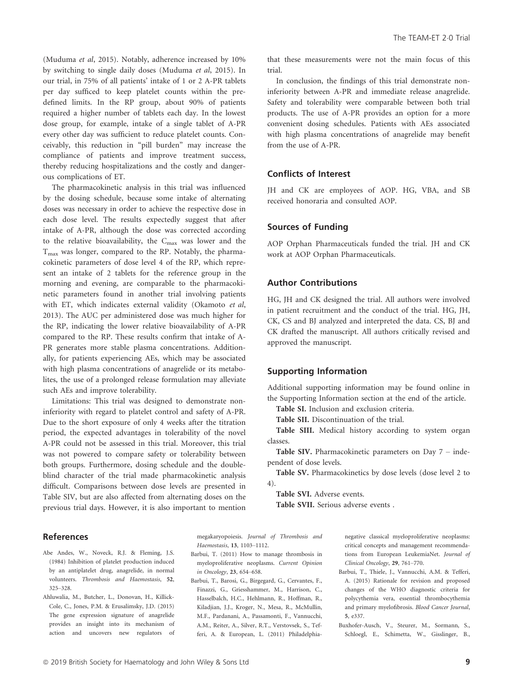(Muduma et al, 2015). Notably, adherence increased by 10% by switching to single daily doses (Muduma et al, 2015). In our trial, in 75% of all patients' intake of 1 or 2 A-PR tablets per day sufficed to keep platelet counts within the predefined limits. In the RP group, about 90% of patients required a higher number of tablets each day. In the lowest dose group, for example, intake of a single tablet of A-PR every other day was sufficient to reduce platelet counts. Conceivably, this reduction in "pill burden" may increase the compliance of patients and improve treatment success, thereby reducing hospitalizations and the costly and dangerous complications of ET.

The pharmacokinetic analysis in this trial was influenced by the dosing schedule, because some intake of alternating doses was necessary in order to achieve the respective dose in each dose level. The results expectedly suggest that after intake of A-PR, although the dose was corrected according to the relative bioavailability, the Cmax was lower and the  $T<sub>max</sub>$  was longer, compared to the RP. Notably, the pharmacokinetic parameters of dose level 4 of the RP, which represent an intake of 2 tablets for the reference group in the morning and evening, are comparable to the pharmacokinetic parameters found in another trial involving patients with ET, which indicates external validity (Okamoto et al, 2013). The AUC per administered dose was much higher for the RP, indicating the lower relative bioavailability of A-PR compared to the RP. These results confirm that intake of A-PR generates more stable plasma concentrations. Additionally, for patients experiencing AEs, which may be associated with high plasma concentrations of anagrelide or its metabolites, the use of a prolonged release formulation may alleviate such AEs and improve tolerability.

Limitations: This trial was designed to demonstrate noninferiority with regard to platelet control and safety of A-PR. Due to the short exposure of only 4 weeks after the titration period, the expected advantages in tolerability of the novel A-PR could not be assessed in this trial. Moreover, this trial was not powered to compare safety or tolerability between both groups. Furthermore, dosing schedule and the doubleblind character of the trial made pharmacokinetic analysis difficult. Comparisons between dose levels are presented in Table SIV, but are also affected from alternating doses on the previous trial days. However, it is also important to mention that these measurements were not the main focus of this trial.

In conclusion, the findings of this trial demonstrate noninferiority between A-PR and immediate release anagrelide. Safety and tolerability were comparable between both trial products. The use of A-PR provides an option for a more convenient dosing schedules. Patients with AEs associated with high plasma concentrations of anagrelide may benefit from the use of A-PR.

# Conflicts of Interest

JH and CK are employees of AOP. HG, VBA, and SB received honoraria and consulted AOP.

## Sources of Funding

AOP Orphan Pharmaceuticals funded the trial. JH and CK work at AOP Orphan Pharmaceuticals.

# Author Contributions

HG, JH and CK designed the trial. All authors were involved in patient recruitment and the conduct of the trial. HG, JH, CK, CS and BJ analyzed and interpreted the data. CS, BJ and CK drafted the manuscript. All authors critically revised and approved the manuscript.

### Supporting Information

Additional supporting information may be found online in the Supporting Information section at the end of the article.

Table SI. Inclusion and exclusion criteria.

Table SII. Discontinuation of the trial.

Table SIII. Medical history according to system organ classes.

Table SIV. Pharmacokinetic parameters on Day 7 – independent of dose levels.

Table SV. Pharmacokinetics by dose levels (dose level 2 to 4).

Table SVI. Adverse events.

Table SVII. Serious adverse events .

#### References

- Abe Andes, W., Noveck, R.J. & Fleming, J.S. (1984) Inhibition of platelet production induced by an antiplatelet drug, anagrelide, in normal volunteers. Thrombosis and Haemostasis, 52, 325–328.
- Ahluwalia, M., Butcher, L., Donovan, H., Killick-Cole, C., Jones, P.M. & Erusalimsky, J.D. (2015) The gene expression signature of anagrelide provides an insight into its mechanism of action and uncovers new regulators of

megakaryopoiesis. Journal of Thrombosis and Haemostasis, 13, 1103–1112.

- Barbui, T. (2011) How to manage thrombosis in myeloproliferative neoplasms. Current Opinion in Oncology, 23, 654–658.
- Barbui, T., Barosi, G., Birgegard, G., Cervantes, F., Finazzi, G., Griesshammer, M., Harrison, C., Hasselbalch, H.C., Hehlmann, R., Hoffman, R., Kiladjian, J.J., Kroger, N., Mesa, R., McMullin, M.F., Pardanani, A., Passamonti, F., Vannucchi, A.M., Reiter, A., Silver, R.T., Verstovsek, S., Tefferi, A. & European, L. (2011) Philadelphia-

negative classical myeloproliferative neoplasms: critical concepts and management recommendations from European LeukemiaNet. Journal of Clinical Oncology, 29, 761–770.

- Barbui, T., Thiele, J., Vannucchi, A.M. & Tefferi, A. (2015) Rationale for revision and proposed changes of the WHO diagnostic criteria for polycythemia vera, essential thrombocythemia and primary myelofibrosis. Blood Cancer Journal, 5, e337.
- Buxhofer-Ausch, V., Steurer, M., Sormann, S., Schloegl, E., Schimetta, W., Gisslinger, B.,